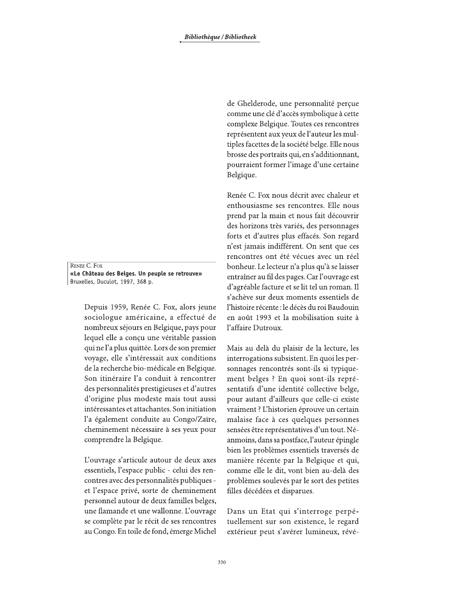RENÉE C. FOX «Le Château des Belges. Un peuple se retrouve» Bruxelles, Duculot, 1997, 368 p.

> Depuis 1959, Renée C. Fox, alors jeune sociologue américaine, a effectué de nombreux séjours en Belgique, pays pour lequel elle a conçu une véritable passion qui ne l'a plus quittée. Lors de son premier voyage, elle s'intéressait aux conditions de la recherche bio-médicale en Belgique. Son itinéraire l'a conduit à rencontrer des personnalités prestigieuses et d'autres d'origine plus modeste mais tout aussi intéressantes et attachantes. Son initiation l'a également conduite au Congo/Zaïre, cheminement nécessaire à ses yeux pour comprendre la Belgique.

> L'ouvrage s'articule autour de deux axes essentiels, l'espace public - celui des rencontres avec des personnalités publiques et l'espace privé, sorte de cheminement personnel autour de deux familles belges, une flamande et une wallonne. L'ouvrage se complète par le récit de ses rencontres au Congo. En toile de fond, émerge Michel

de Ghelderode, une personnalité perçue comme une clé d'accès symbolique à cette complexe Belgique. Toutes ces rencontres représentent aux yeux de l'auteur les multiples facettes de la société belge. Elle nous brosse des portraits qui, en s'additionnant, pourraient former l'image d'une certaine Belgique.

Renée C. Fox nous décrit avec chaleur et enthousiasme ses rencontres. Elle nous prend par la main et nous fait découvrir des horizons très variés, des personnages forts et d'autres plus effacés. Son regard n'est jamais indifférent. On sent que ces rencontres ont été vécues avec un réel bonheur. Le lecteur n'a plus qu'à se laisser entraîner au fil des pages. Car l'ouvrage est d'agréable facture et se lit tel un roman. Il s'achève sur deux moments essentiels de l'histoire récente : le décès du roi Baudouin en août 1993 et la mobilisation suite à l'affaire Dutroux.

Mais au delà du plaisir de la lecture, les interrogations subsistent. En quoi les personnages rencontrés sont-ils si typiquement belges ? En quoi sont-ils représentatifs d'une identité collective belge, pour autant d'ailleurs que celle-ci existe vraiment ? L'historien éprouve un certain malaise face à ces quelques personnes sensées être représentatives d'un tout. Néanmoins, dans sa postface, l'auteur épingle bien les problèmes essentiels traversés de manière récente par la Belgique et qui, comme elle le dit, vont bien au-delà des problèmes soulevés par le sort des petites filles décédées et disparues.

Dans un Etat qui s'interroge perpétuellement sur son existence, le regard extérieur peut s'avérer lumineux, révé